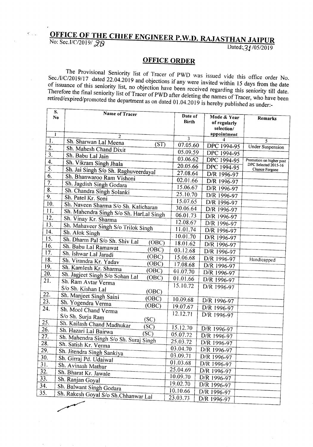## **OFFICE OF THE CHIEF ENGINEER P.W.D. RAJASTHAN JAIPUR**

No: Sec.I/C/2019/ 28<br>Dated: 21/05/2019

## **OFFICE ORDER**

The Provisional Seniority list of Tracer of PWD was issued vide this office order No. *Sec.lI/C/2019/17* dated 22.04.2019 and objections if any were invited within 15 days from the date of issuance of this seniority list, no objection have been received regarding this seniority till date. Therefore the final seniority list of Tracer of PWD after deleting the names of Tracer, who have been *retired/expired/promoted* the department as on dated 01.04.2019 is hereby published as under:-

| S.<br>No                  | Name of Tracer                                 | Date of<br><b>Birth</b> | Mode & Year<br>of regularly<br>selection/ | Remarks                                          |
|---------------------------|------------------------------------------------|-------------------------|-------------------------------------------|--------------------------------------------------|
| $\mathbf{1}$              | 2                                              |                         | appointment                               |                                                  |
| 1.                        | Sh. Sharwan Lal Meena<br>(ST)                  | 3<br>07.05.60           |                                           | 5                                                |
| $\overline{2}$ .          | Sh. Mahesh Chand Dixit                         |                         | DPC 1994-95                               | <b>Under Suspension</b>                          |
| $\overline{3}$ .          | Sh. Babu Lal Jain                              | 05.09.59                | DPC 1994-95                               |                                                  |
| 4.                        | Sh. Vikram Singh Jhala                         | 03.06.62                | DPC 1994-95                               | Promotion on higher post<br>DPC Selected 2015-16 |
| $\overline{5}$ .          | Sh. Jai Singh S/o Sh. Raghuveerdayal           | 20.05.66                | DPC 1994-95                               | Chance Forgone                                   |
| 6.                        | Sh. Bhanwaroo Ram Vishoni                      | 27.08.64                | D/R 1996-97                               |                                                  |
| 7.                        | Sh. Jagdish Singh Godara                       | 02.01.66                | D/R 1996-97                               |                                                  |
| $\overline{\mathbf{8}}$ . | Sh. Chandra Singh Solanki                      | 15.06.67                | D/R 1996-97                               |                                                  |
| 9.                        | Sh. Patel Kr. Soni                             | 25.10.70                | D/R 1996-97                               |                                                  |
| 10.                       | Sh. Naveen Sharma S/o Sh. Kalicharan           | 15.07.65                | D/R 1996-97                               |                                                  |
| 11.                       | Sh. Mahendra Singh S/o Sh. HarLal Singh        | 30.06.64                | D/R 1996-97                               |                                                  |
| 12.                       | Sh. Vinay Kr. Sharma                           | 06.01.73                | D/R 1996-97                               |                                                  |
| 13.                       | Sh. Mahaveer Singh S/o Trilok Singh            | 12.08.67                | D/R 1996-97                               |                                                  |
| 14.                       | Sh. Alok Singh                                 | 11.01.74                | D/R 1996-97                               |                                                  |
| 15.                       | Sh. Dharm Pal S/o Sh. Shiv Lal                 | 10.01.70                | D/R 1996-97                               |                                                  |
| 16.                       | (OBC)<br>Sh. Babu Lal Ramawat                  | 18.01.62                | D/R 1996-97                               |                                                  |
| 17.                       | (OBC)<br>Sh. Ishwar Lal Jaradi                 | 03.12.68                | D/R 1996-97                               |                                                  |
| 18.                       | (OBC)<br>Sh. Virandra Kr. Yadav                | 15.06.68                | D/R 1996-97                               | Handicapped                                      |
| 19.                       | (OBC)<br>Sh. Kamlesh Kr. Sharma                | 17.08.68                | D/R 1996-97                               |                                                  |
| 20.                       | (OBC)<br>Sh. Jagjeet Singh S/o Sohan Lal       | 01.07.70                | D/R 1996-97                               |                                                  |
| 21.                       | (OBC)<br>Sh. Ram Avtar Verma                   | 01.01.66                | D/R 1996-97                               |                                                  |
|                           | S/o Sh. Kishan Lal                             | 15.10.72                | D/R 1996-97                               |                                                  |
| 22.                       | (OBC)<br>Sh. Manjeet Singh Saini               |                         |                                           |                                                  |
| $\overline{23}$ .         | (OBC)<br>Sh. Yogendra Verma                    | 10.09.68                | D/R 1996-97                               |                                                  |
| 24.                       | (OBC)<br>Sh. Mool Chand Verma                  | 19.07.67                | D/R 1996-97                               |                                                  |
|                           | S/o Sh. Surja Ram                              | 12.12.71                | D/R 1996-97                               |                                                  |
| 25.                       | (SC)<br>Sh. Kailash Chand Madhukar             |                         |                                           |                                                  |
| 26.                       | SC)<br>Sh. Hazari Lal Bairwa                   | 15.12.70                | D/R 1996-97                               |                                                  |
| $\overline{27}$ .         | (SC)<br>Sh. Mahendra Singh S/o Sh. Suraj Singh | 05.07.72                | D/R 1996-97                               |                                                  |
| 28.                       | Sh. Satish Kr. Verma                           | 25.03.72                | D/R 1996-97                               |                                                  |
| $\overline{29}$ .         | Sh. Jitendra Singh Sankiya                     | 03.04.70                | D/R 1996-97                               |                                                  |
| 30.                       | Sh. Girraj Pd. Udaiwal                         | 03.09.71                | D/R 1996-97                               |                                                  |
| 31.                       | Sh. Avinash Mathur                             | 01.03.68                | D/R 1996-97                               |                                                  |
| 32.                       | Sh. Bharat Kr. Jawale                          | 25.04.69                | D/R 1996-97                               |                                                  |
| 33.                       | Sh. Ranjan Goyal                               | 10.09.70                | D/R 1996-97                               |                                                  |
| $\overline{34.}$          | Sh. Balwant Singh Godara                       | 19.02.70                | D/R 1996-97                               |                                                  |
| 35.                       |                                                | 10.10.66                | D/R 1996-97                               |                                                  |
|                           | Sh. Rakesh Goyal S/o Sh.Chhanwar Lal           | 23.03.73                | D/R 1996-97                               |                                                  |